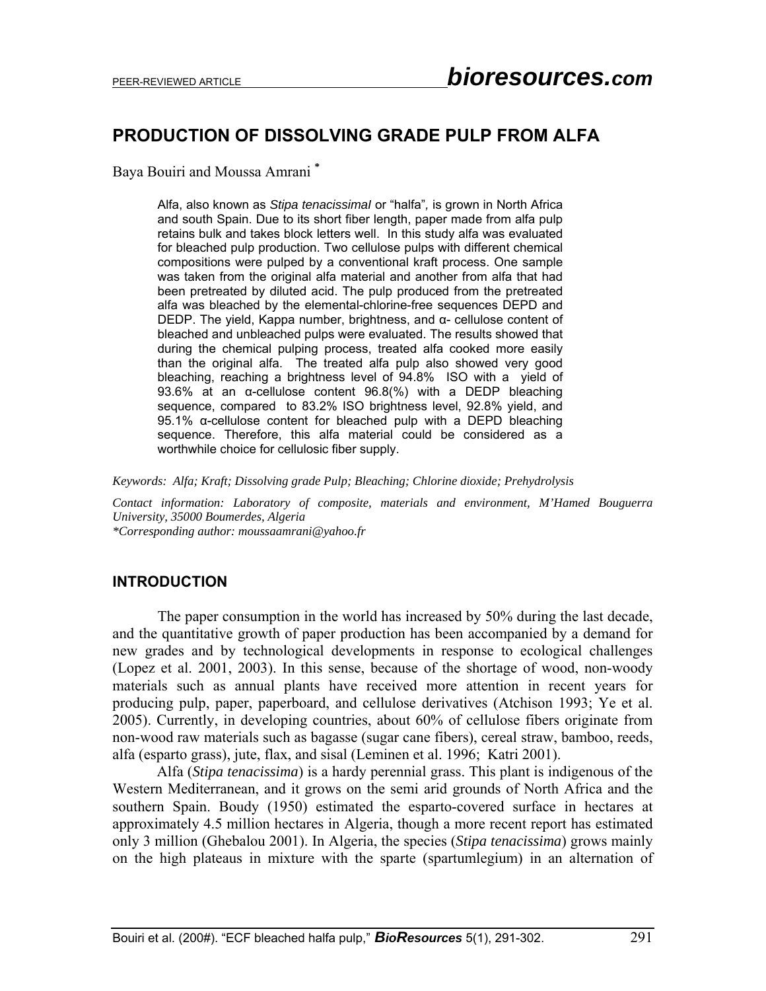# **PRODUCTION OF DISSOLVING GRADE PULP FROM ALFA**

Baya Bouiri and Moussa Amrani **\*** 

Alfa, also known as *Stipa tenacissimaI* or "halfa"*,* is grown in North Africa and south Spain. Due to its short fiber length, paper made from alfa pulp retains bulk and takes block letters well. In this study alfa was evaluated for bleached pulp production. Two cellulose pulps with different chemical compositions were pulped by a conventional kraft process. One sample was taken from the original alfa material and another from alfa that had been pretreated by diluted acid. The pulp produced from the pretreated alfa was bleached by the elemental-chlorine-free sequences DEPD and DEDP. The yield, Kappa number, brightness, and α- cellulose content of bleached and unbleached pulps were evaluated. The results showed that during the chemical pulping process, treated alfa cooked more easily than the original alfa. The treated alfa pulp also showed very good bleaching, reaching a brightness level of 94.8% ISO with a yield of 93.6% at an α-cellulose content 96.8(%) with a DEDP bleaching sequence, compared to 83.2% ISO brightness level, 92.8% yield, and 95.1% α-cellulose content for bleached pulp with a DEPD bleaching sequence. Therefore, this alfa material could be considered as a worthwhile choice for cellulosic fiber supply.

*Keywords: Alfa; Kraft; Dissolving grade Pulp; Bleaching; Chlorine dioxide; Prehydrolysis* 

*Contact information: Laboratory of composite, materials and environment, M'Hamed Bouguerra University, 35000 Boumerdes, Algeria* 

*\*Corresponding author: moussaamrani@yahoo.fr* 

### **INTRODUCTION**

 The paper consumption in the world has increased by 50% during the last decade, and the quantitative growth of paper production has been accompanied by a demand for new grades and by technological developments in response to ecological challenges (Lopez et al. 2001, 2003). In this sense, because of the shortage of wood, non-woody materials such as annual plants have received more attention in recent years for producing pulp, paper, paperboard, and cellulose derivatives (Atchison 1993; Ye et al. 2005). Currently, in developing countries, about 60% of cellulose fibers originate from non-wood raw materials such as bagasse (sugar cane fibers), cereal straw, bamboo, reeds, alfa (esparto grass), jute, flax, and sisal (Leminen et al. 1996; Katri 2001).

Alfa (*Stipa tenacissima*) is a hardy perennial grass. This plant is indigenous of the Western Mediterranean, and it grows on the semi arid grounds of North Africa and the southern Spain. Boudy (1950) estimated the esparto-covered surface in hectares at approximately 4.5 million hectares in Algeria, though a more recent report has estimated only 3 million (Ghebalou 2001). In Algeria, the species (*Stipa tenacissima*) grows mainly on the high plateaus in mixture with the sparte (spartumlegium) in an alternation of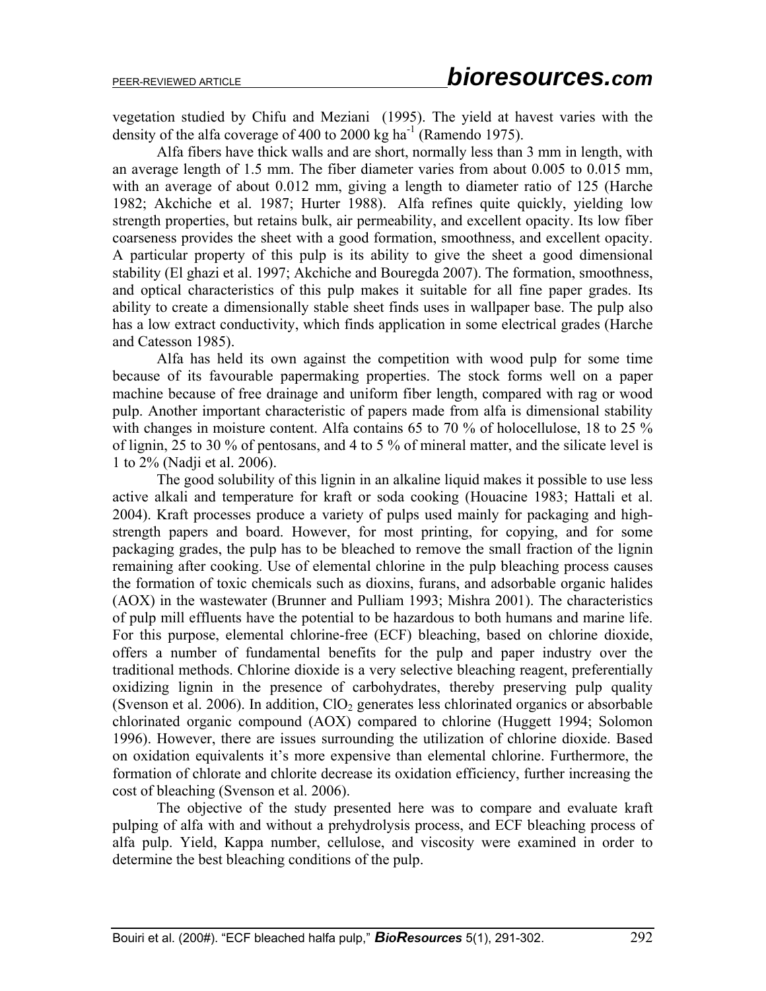vegetation studied by Chifu and Meziani (1995). The yield at havest varies with the density of the alfa coverage of 400 to 2000 kg ha<sup>-1</sup> (Ramendo 1975).

Alfa fibers have thick walls and are short, normally less than 3 mm in length, with an average length of 1.5 mm. The fiber diameter varies from about 0.005 to 0.015 mm, with an average of about 0.012 mm, giving a length to diameter ratio of 125 (Harche 1982; Akchiche et al. 1987; Hurter 1988). Alfa refines quite quickly, yielding low strength properties, but retains bulk, air permeability, and excellent opacity. Its low fiber coarseness provides the sheet with a good formation, smoothness, and excellent opacity. A particular property of this pulp is its ability to give the sheet a good dimensional stability (El ghazi et al. 1997; Akchiche and Bouregda 2007). The formation, smoothness, and optical characteristics of this pulp makes it suitable for all fine paper grades. Its ability to create a dimensionally stable sheet finds uses in wallpaper base. The pulp also has a low extract conductivity, which finds application in some electrical grades (Harche and Catesson 1985).

Alfa has held its own against the competition with wood pulp for some time because of its favourable papermaking properties. The stock forms well on a paper machine because of free drainage and uniform fiber length, compared with rag or wood pulp. Another important characteristic of papers made from alfa is dimensional stability with changes in moisture content. Alfa contains 65 to 70 % of holocellulose, 18 to 25 % of lignin, 25 to 30 % of pentosans, and 4 to 5 % of mineral matter, and the silicate level is 1 to 2% (Nadji et al. 2006).

The good solubility of this lignin in an alkaline liquid makes it possible to use less active alkali and temperature for kraft or soda cooking (Houacine 1983; Hattali et al. 2004). Kraft processes produce a variety of pulps used mainly for packaging and highstrength papers and board. However, for most printing, for copying, and for some packaging grades, the pulp has to be bleached to remove the small fraction of the lignin remaining after cooking. Use of elemental chlorine in the pulp bleaching process causes the formation of toxic chemicals such as dioxins, furans, and adsorbable organic halides (AOX) in the wastewater (Brunner and Pulliam 1993; Mishra 2001). The characteristics of pulp mill effluents have the potential to be hazardous to both humans and marine life. For this purpose, elemental chlorine-free (ECF) bleaching, based on chlorine dioxide, offers a number of fundamental benefits for the pulp and paper industry over the traditional methods. Chlorine dioxide is a very selective bleaching reagent, preferentially oxidizing lignin in the presence of carbohydrates, thereby preserving pulp quality (Svenson et al. 2006). In addition,  $ClO<sub>2</sub>$  generates less chlorinated organics or absorbable chlorinated organic compound (AOX) compared to chlorine (Huggett 1994; Solomon 1996). However, there are issues surrounding the utilization of chlorine dioxide. Based on oxidation equivalents it's more expensive than elemental chlorine. Furthermore, the formation of chlorate and chlorite decrease its oxidation efficiency, further increasing the cost of bleaching (Svenson et al. 2006).

The objective of the study presented here was to compare and evaluate kraft pulping of alfa with and without a prehydrolysis process, and ECF bleaching process of alfa pulp. Yield, Kappa number, cellulose, and viscosity were examined in order to determine the best bleaching conditions of the pulp.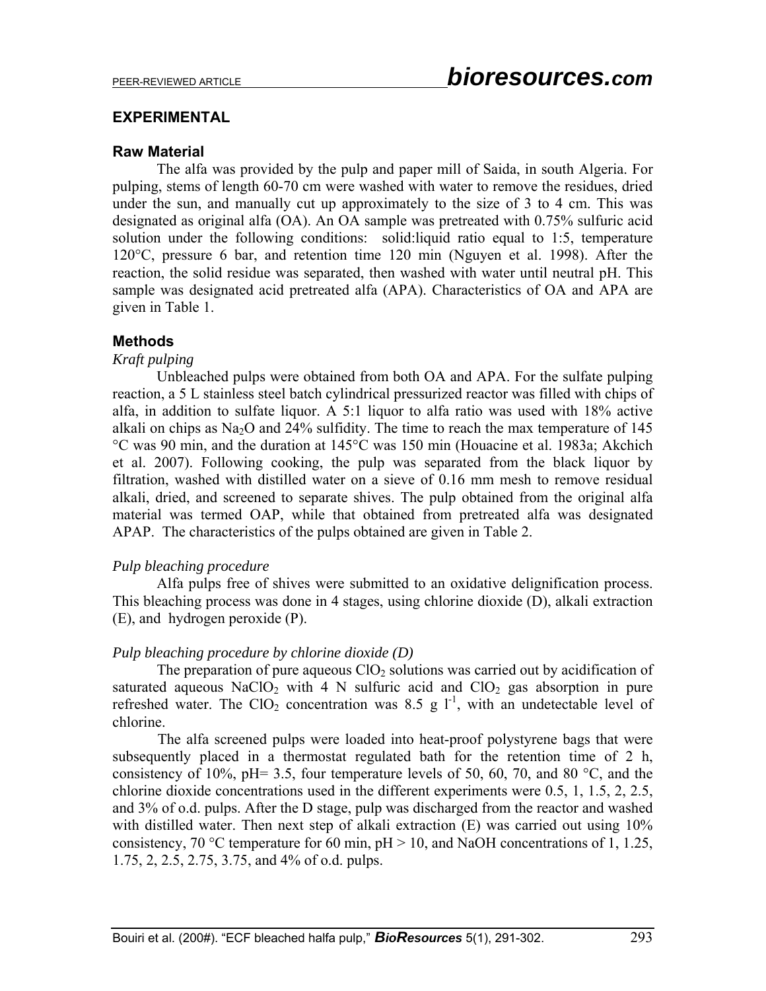# **EXPERIMENTAL**

### **Raw Material**

The alfa was provided by the pulp and paper mill of Saida, in south Algeria. For pulping, stems of length 60-70 cm were washed with water to remove the residues, dried under the sun, and manually cut up approximately to the size of 3 to 4 cm. This was designated as original alfa (OA). An OA sample was pretreated with 0.75% sulfuric acid solution under the following conditions: solid:liquid ratio equal to 1:5, temperature 120°C, pressure 6 bar, and retention time 120 min (Nguyen et al. 1998). After the reaction, the solid residue was separated, then washed with water until neutral pH. This sample was designated acid pretreated alfa (APA). Characteristics of OA and APA are given in Table 1.

# **Methods**

### *Kraft pulping*

Unbleached pulps were obtained from both OA and APA. For the sulfate pulping reaction, a 5 L stainless steel batch cylindrical pressurized reactor was filled with chips of alfa, in addition to sulfate liquor. A 5:1 liquor to alfa ratio was used with 18% active alkali on chips as Na<sub>2</sub>O and 24% sulfidity. The time to reach the max temperature of 145 °C was 90 min, and the duration at 145°C was 150 min (Houacine et al. 1983a; Akchich et al. 2007). Following cooking, the pulp was separated from the black liquor by filtration, washed with distilled water on a sieve of 0.16 mm mesh to remove residual alkali, dried, and screened to separate shives. The pulp obtained from the original alfa material was termed OAP, while that obtained from pretreated alfa was designated APAP. The characteristics of the pulps obtained are given in Table 2.

# *Pulp bleaching procedure*

Alfa pulps free of shives were submitted to an oxidative delignification process. This bleaching process was done in 4 stages, using chlorine dioxide (D), alkali extraction (E), and hydrogen peroxide (P).

# *Pulp bleaching procedure by chlorine dioxide (D)*

The preparation of pure aqueous  $ClO<sub>2</sub>$  solutions was carried out by acidification of saturated aqueous NaClO<sub>2</sub> with 4 N sulfuric acid and  $ClO<sub>2</sub>$  gas absorption in pure refreshed water. The ClO<sub>2</sub> concentration was 8.5 g  $1^{-1}$ , with an undetectable level of chlorine.

 The alfa screened pulps were loaded into heat-proof polystyrene bags that were subsequently placed in a thermostat regulated bath for the retention time of 2 h, consistency of 10%, pH= 3.5, four temperature levels of 50, 60, 70, and 80  $^{\circ}$ C, and the chlorine dioxide concentrations used in the different experiments were 0.5, 1, 1.5, 2, 2.5, and 3% of o.d. pulps. After the D stage, pulp was discharged from the reactor and washed with distilled water. Then next step of alkali extraction (E) was carried out using 10% consistency, 70 °C temperature for 60 min,  $pH > 10$ , and NaOH concentrations of 1, 1.25, 1.75, 2, 2.5, 2.75, 3.75, and 4% of o.d. pulps.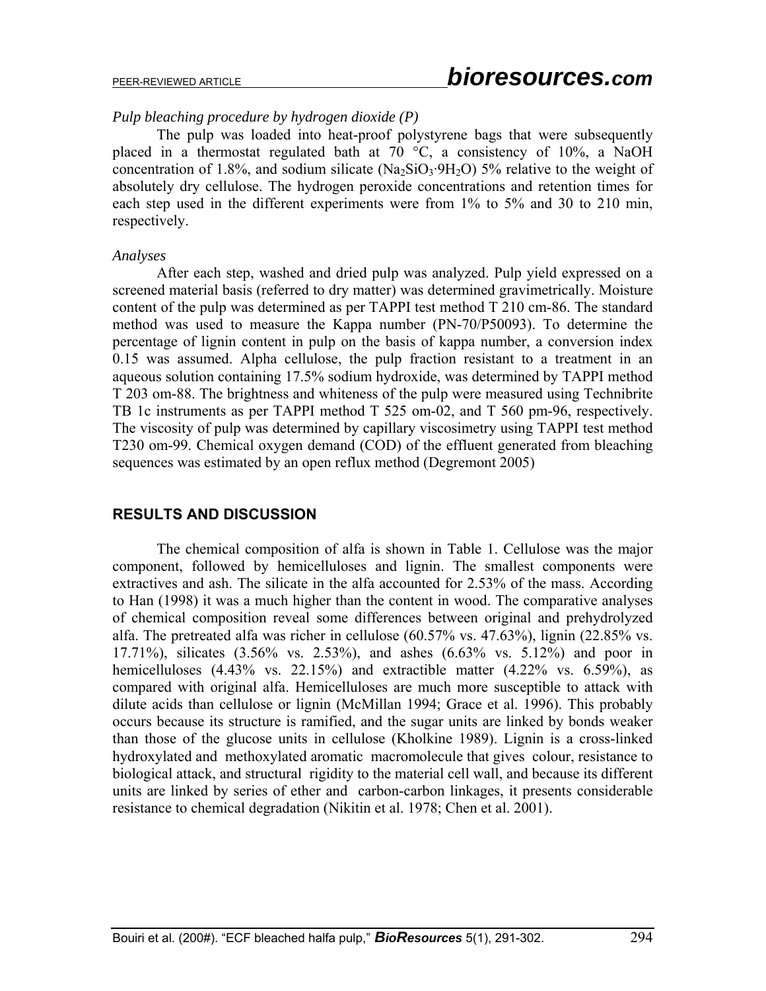# *Pulp bleaching procedure by hydrogen dioxide (P)*

The pulp was loaded into heat-proof polystyrene bags that were subsequently placed in a thermostat regulated bath at 70 °C, a consistency of 10%, a NaOH concentration of 1.8%, and sodium silicate  $(Na_2SiO_3.9H_2O)$  5% relative to the weight of absolutely dry cellulose. The hydrogen peroxide concentrations and retention times for each step used in the different experiments were from 1% to 5% and 30 to 210 min, respectively.

### *Analyses*

After each step, washed and dried pulp was analyzed. Pulp yield expressed on a screened material basis (referred to dry matter) was determined gravimetrically. Moisture content of the pulp was determined as per TAPPI test method T 210 cm-86. The standard method was used to measure the Kappa number (PN-70/P50093). To determine the percentage of lignin content in pulp on the basis of kappa number, a conversion index 0.15 was assumed. Alpha cellulose, the pulp fraction resistant to a treatment in an aqueous solution containing 17.5% sodium hydroxide, was determined by TAPPI method T 203 om-88. The brightness and whiteness of the pulp were measured using Technibrite TB 1c instruments as per TAPPI method T 525 om-02, and T 560 pm-96, respectively. The viscosity of pulp was determined by capillary viscosimetry using TAPPI test method T230 om-99. Chemical oxygen demand (COD) of the effluent generated from bleaching sequences was estimated by an open reflux method (Degremont 2005)

# **RESULTS AND DISCUSSION**

The chemical composition of alfa is shown in Table 1. Cellulose was the major component, followed by hemicelluloses and lignin. The smallest components were extractives and ash. The silicate in the alfa accounted for 2.53% of the mass. According to Han (1998) it was a much higher than the content in wood. The comparative analyses of chemical composition reveal some differences between original and prehydrolyzed alfa. The pretreated alfa was richer in cellulose (60.57% vs. 47.63%), lignin (22.85% vs. 17.71%), silicates (3.56% vs. 2.53%), and ashes (6.63% vs. 5.12%) and poor in hemicelluloses  $(4.43\%$  vs. 22.15%) and extractible matter  $(4.22\%$  vs. 6.59%), as compared with original alfa. Hemicelluloses are much more susceptible to attack with dilute acids than cellulose or lignin (McMillan 1994; Grace et al. 1996). This probably occurs because its structure is ramified, and the sugar units are linked by bonds weaker than those of the glucose units in cellulose (Kholkine 1989). Lignin is a cross-linked hydroxylated and methoxylated aromatic macromolecule that gives colour, resistance to biological attack, and structural rigidity to the material cell wall, and because its different units are linked by series of ether and carbon-carbon linkages, it presents considerable resistance to chemical degradation (Nikitin et al. 1978; Chen et al. 2001).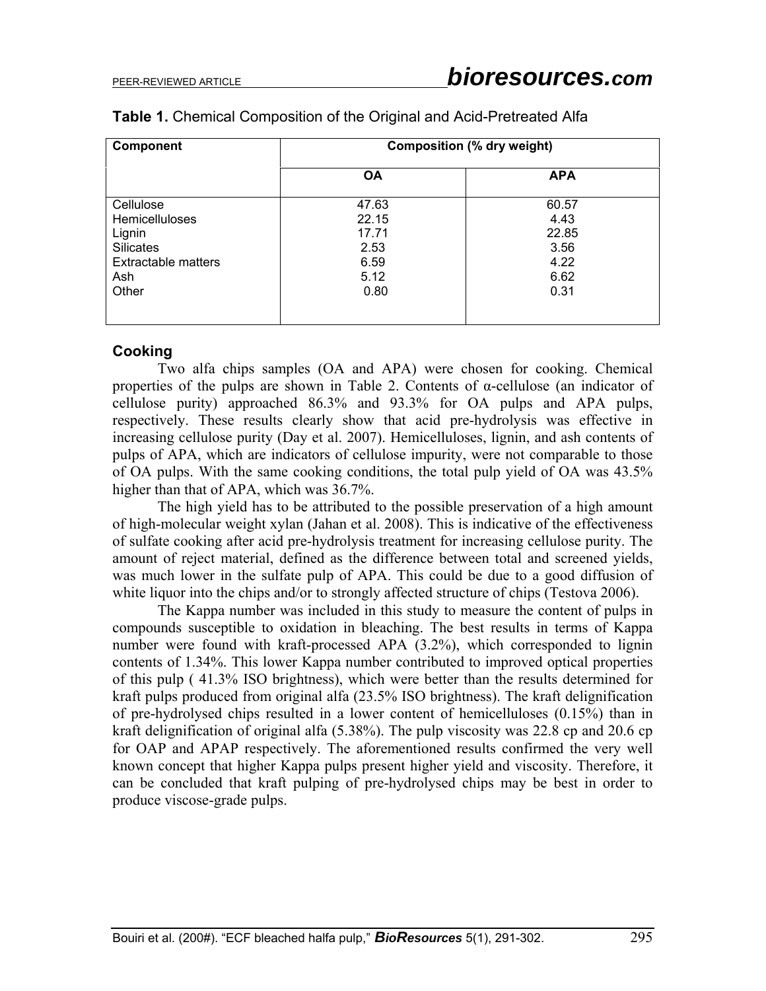| <b>Component</b>           | <b>Composition (% dry weight)</b> |            |  |
|----------------------------|-----------------------------------|------------|--|
|                            | <b>OA</b>                         | <b>APA</b> |  |
| Cellulose                  | 47.63                             | 60.57      |  |
| <b>Hemicelluloses</b>      | 22.15                             | 4.43       |  |
| Lignin                     | 17.71                             | 22.85      |  |
| <b>Silicates</b>           | 2.53                              | 3.56       |  |
| <b>Extractable matters</b> | 6.59                              | 4.22       |  |
| Ash                        | 5.12                              | 6.62       |  |
| Other                      | 0.80                              | 0.31       |  |
|                            |                                   |            |  |
|                            |                                   |            |  |

### **Table 1.** Chemical Composition of the Original and Acid-Pretreated Alfa

# **Cooking**

 Two alfa chips samples (OA and APA) were chosen for cooking. Chemical properties of the pulps are shown in Table 2. Contents of α-cellulose (an indicator of cellulose purity) approached 86.3% and 93.3% for OA pulps and APA pulps, respectively. These results clearly show that acid pre-hydrolysis was effective in increasing cellulose purity (Day et al. 2007). Hemicelluloses, lignin, and ash contents of pulps of APA, which are indicators of cellulose impurity, were not comparable to those of OA pulps. With the same cooking conditions, the total pulp yield of OA was 43.5% higher than that of APA, which was 36.7%.

 The high yield has to be attributed to the possible preservation of a high amount of high-molecular weight xylan (Jahan et al. 2008). This is indicative of the effectiveness of sulfate cooking after acid pre-hydrolysis treatment for increasing cellulose purity. The amount of reject material, defined as the difference between total and screened yields, was much lower in the sulfate pulp of APA. This could be due to a good diffusion of white liquor into the chips and/or to strongly affected structure of chips (Testova 2006).

 The Kappa number was included in this study to measure the content of pulps in compounds susceptible to oxidation in bleaching. The best results in terms of Kappa number were found with kraft-processed APA (3.2%), which corresponded to lignin contents of 1.34%. This lower Kappa number contributed to improved optical properties of this pulp ( 41.3% ISO brightness), which were better than the results determined for kraft pulps produced from original alfa (23.5% ISO brightness). The kraft delignification of pre-hydrolysed chips resulted in a lower content of hemicelluloses (0.15%) than in kraft delignification of original alfa (5.38%). The pulp viscosity was 22.8 cp and 20.6 cp for OAP and APAP respectively. The aforementioned results confirmed the very well known concept that higher Kappa pulps present higher yield and viscosity. Therefore, it can be concluded that kraft pulping of pre-hydrolysed chips may be best in order to produce viscose-grade pulps.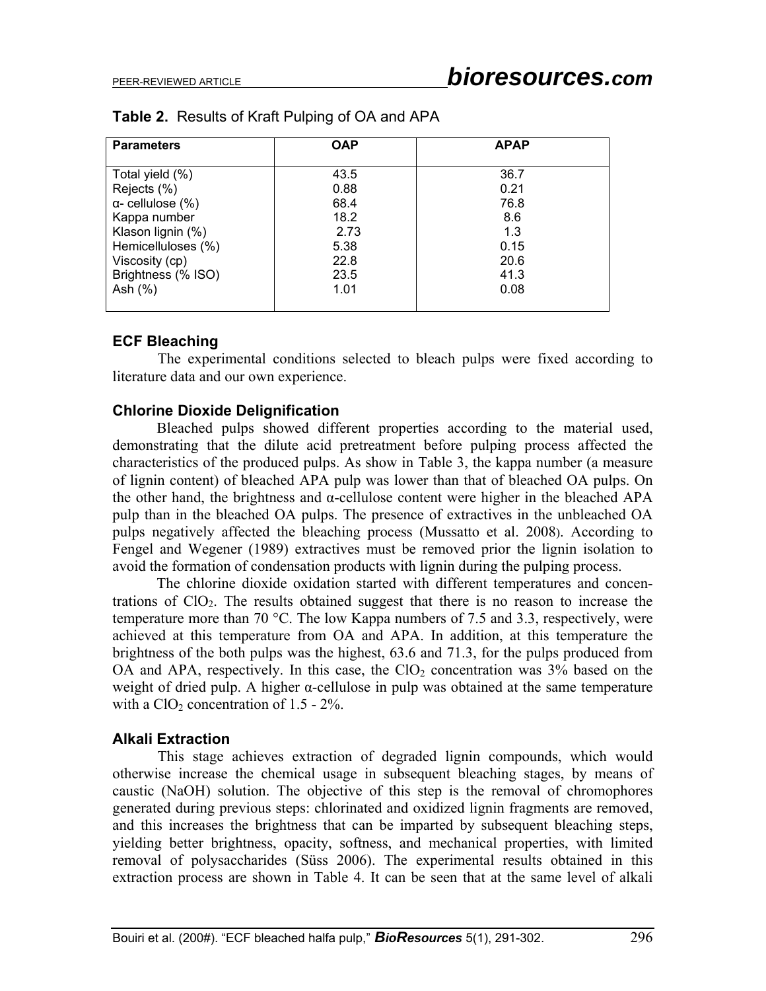| <b>Parameters</b>        | <b>OAP</b> | <b>APAP</b> |
|--------------------------|------------|-------------|
|                          |            |             |
| Total yield (%)          | 43.5       | 36.7        |
| Rejects (%)              | 0.88       | 0.21        |
| $\alpha$ - cellulose (%) | 68.4       | 76.8        |
| Kappa number             | 18.2       | 8.6         |
| Klason lignin (%)        | 2.73       | 1.3         |
| Hemicelluloses (%)       | 5.38       | 0.15        |
| Viscosity (cp)           | 22.8       | 20.6        |
| Brightness (% ISO)       | 23.5       | 41.3        |
| Ash $(\%)$               | 1.01       | 0.08        |
|                          |            |             |

# **Table 2.** Results of Kraft Pulping of OA and APA

### **ECF Bleaching**

 The experimental conditions selected to bleach pulps were fixed according to literature data and our own experience.

### **Chlorine Dioxide Delignification**

Bleached pulps showed different properties according to the material used, demonstrating that the dilute acid pretreatment before pulping process affected the characteristics of the produced pulps. As show in Table 3, the kappa number (a measure of lignin content) of bleached APA pulp was lower than that of bleached OA pulps. On the other hand, the brightness and  $\alpha$ -cellulose content were higher in the bleached APA pulp than in the bleached OA pulps. The presence of extractives in the unbleached OA pulps negatively affected the bleaching process (Mussatto et al. 2008). According to Fengel and Wegener (1989) extractives must be removed prior the lignin isolation to avoid the formation of condensation products with lignin during the pulping process.

The chlorine dioxide oxidation started with different temperatures and concentrations of  $ClO<sub>2</sub>$ . The results obtained suggest that there is no reason to increase the temperature more than 70 °C. The low Kappa numbers of 7.5 and 3.3, respectively, were achieved at this temperature from OA and APA. In addition, at this temperature the brightness of the both pulps was the highest, 63.6 and 71.3, for the pulps produced from OA and APA, respectively. In this case, the  $ClO<sub>2</sub>$  concentration was 3% based on the weight of dried pulp. A higher  $\alpha$ -cellulose in pulp was obtained at the same temperature with a  $ClO<sub>2</sub>$  concentration of 1.5 - 2%.

# **Alkali Extraction**

 This stage achieves extraction of degraded lignin compounds, which would otherwise increase the chemical usage in subsequent bleaching stages, by means of caustic (NaOH) solution. The objective of this step is the removal of chromophores generated during previous steps: chlorinated and oxidized lignin fragments are removed, and this increases the brightness that can be imparted by subsequent bleaching steps, yielding better brightness, opacity, softness, and mechanical properties, with limited removal of polysaccharides (Süss 2006). The experimental results obtained in this extraction process are shown in Table 4. It can be seen that at the same level of alkali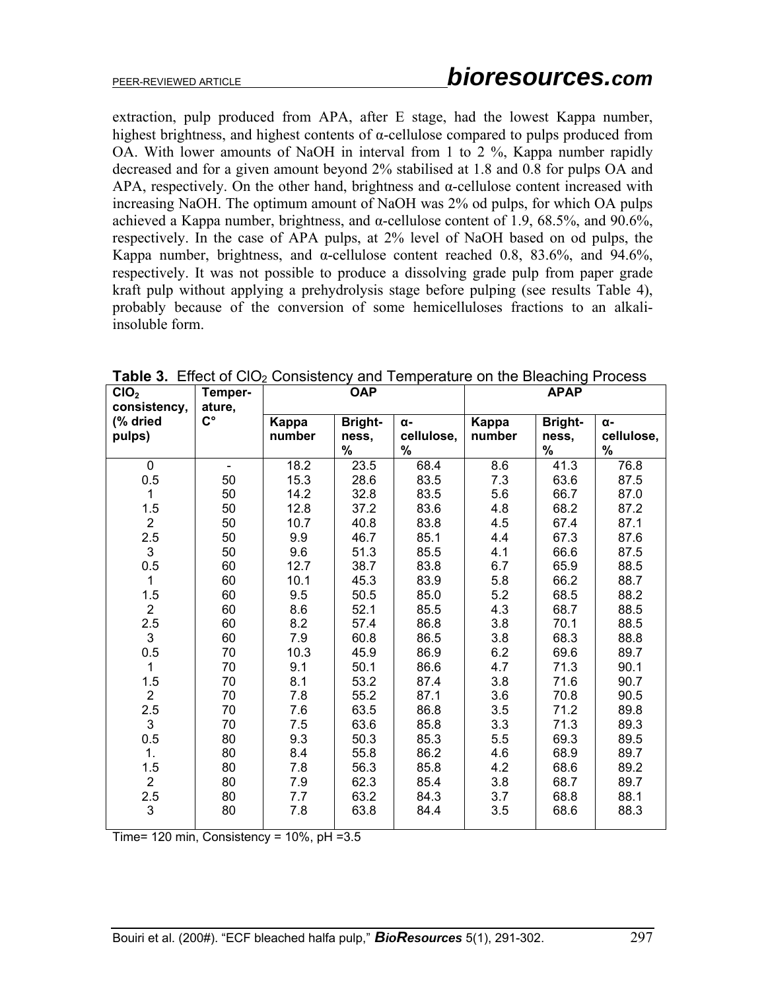extraction, pulp produced from APA, after E stage, had the lowest Kappa number, highest brightness, and highest contents of  $\alpha$ -cellulose compared to pulps produced from OA. With lower amounts of NaOH in interval from 1 to 2 %, Kappa number rapidly decreased and for a given amount beyond 2% stabilised at 1.8 and 0.8 for pulps OA and APA, respectively. On the other hand, brightness and  $\alpha$ -cellulose content increased with increasing NaOH. The optimum amount of NaOH was 2% od pulps, for which OA pulps achieved a Kappa number, brightness, and  $\alpha$ -cellulose content of 1.9, 68.5%, and 90.6%, respectively. In the case of APA pulps, at 2% level of NaOH based on od pulps, the Kappa number, brightness, and  $\alpha$ -cellulose content reached 0.8, 83.6%, and 94.6%, respectively. It was not possible to produce a dissolving grade pulp from paper grade kraft pulp without applying a prehydrolysis stage before pulping (see results Table 4), probably because of the conversion of some hemicelluloses fractions to an alkaliinsoluble form.

| CIO <sub>2</sub><br>consistency, | Temper-<br>ature,  | <b>OAP</b> |                |            | <b>APAP</b> |                |            |
|----------------------------------|--------------------|------------|----------------|------------|-------------|----------------|------------|
| (% dried                         | $\mathsf{C}^\circ$ | Kappa      | <b>Bright-</b> | α-         | Kappa       | <b>Bright-</b> | α-         |
| pulps)                           |                    | number     | ness,          | cellulose, | number      | ness,          | cellulose, |
|                                  |                    |            | $\%$           | %          |             | $\%$           | $\%$       |
| 0                                | $\blacksquare$     | 18.2       | 23.5           | 68.4       | 8.6         | 41.3           | 76.8       |
| 0.5                              | 50                 | 15.3       | 28.6           | 83.5       | 7.3         | 63.6           | 87.5       |
| 1                                | 50                 | 14.2       | 32.8           | 83.5       | 5.6         | 66.7           | 87.0       |
| 1.5                              | 50                 | 12.8       | 37.2           | 83.6       | 4.8         | 68.2           | 87.2       |
| $\overline{2}$                   | 50                 | 10.7       | 40.8           | 83.8       | 4.5         | 67.4           | 87.1       |
| 2.5                              | 50                 | 9.9        | 46.7           | 85.1       | 4.4         | 67.3           | 87.6       |
| 3                                | 50                 | 9.6        | 51.3           | 85.5       | 4.1         | 66.6           | 87.5       |
| 0.5                              | 60                 | 12.7       | 38.7           | 83.8       | 6.7         | 65.9           | 88.5       |
| $\mathbf{1}$                     | 60                 | 10.1       | 45.3           | 83.9       | 5.8         | 66.2           | 88.7       |
| 1.5                              | 60                 | 9.5        | 50.5           | 85.0       | 5.2         | 68.5           | 88.2       |
| $\overline{2}$                   | 60                 | 8.6        | 52.1           | 85.5       | 4.3         | 68.7           | 88.5       |
| 2.5                              | 60                 | 8.2        | 57.4           | 86.8       | 3.8         | 70.1           | 88.5       |
| 3                                | 60                 | 7.9        | 60.8           | 86.5       | 3.8         | 68.3           | 88.8       |
| 0.5                              | 70                 | 10.3       | 45.9           | 86.9       | 6.2         | 69.6           | 89.7       |
| 1                                | 70                 | 9.1        | 50.1           | 86.6       | 4.7         | 71.3           | 90.1       |
| 1.5                              | 70                 | 8.1        | 53.2           | 87.4       | 3.8         | 71.6           | 90.7       |
| $\overline{2}$                   | 70                 | 7.8        | 55.2           | 87.1       | 3.6         | 70.8           | 90.5       |
| 2.5                              | 70                 | 7.6        | 63.5           | 86.8       | 3.5         | 71.2           | 89.8       |
| 3                                | 70                 | 7.5        | 63.6           | 85.8       | 3.3         | 71.3           | 89.3       |
| 0.5                              | 80                 | 9.3        | 50.3           | 85.3       | 5.5         | 69.3           | 89.5       |
| 1.                               | 80                 | 8.4        | 55.8           | 86.2       | 4.6         | 68.9           | 89.7       |
| 1.5                              | 80                 | 7.8        | 56.3           | 85.8       | 4.2         | 68.6           | 89.2       |
| $\overline{2}$                   | 80                 | 7.9        | 62.3           | 85.4       | 3.8         | 68.7           | 89.7       |
| 2.5                              | 80                 | 7.7        | 63.2           | 84.3       | 3.7         | 68.8           | 88.1       |
| 3                                | 80                 | 7.8        | 63.8           | 84.4       | 3.5         | 68.6           | 88.3       |

**Table 3.** Effect of CIO<sub>2</sub> Consistency and Temperature on the Bleaching Process

Time=  $120 \text{ min}$ , Consistency =  $10\%$ , pH =  $3.5 \text{ m}$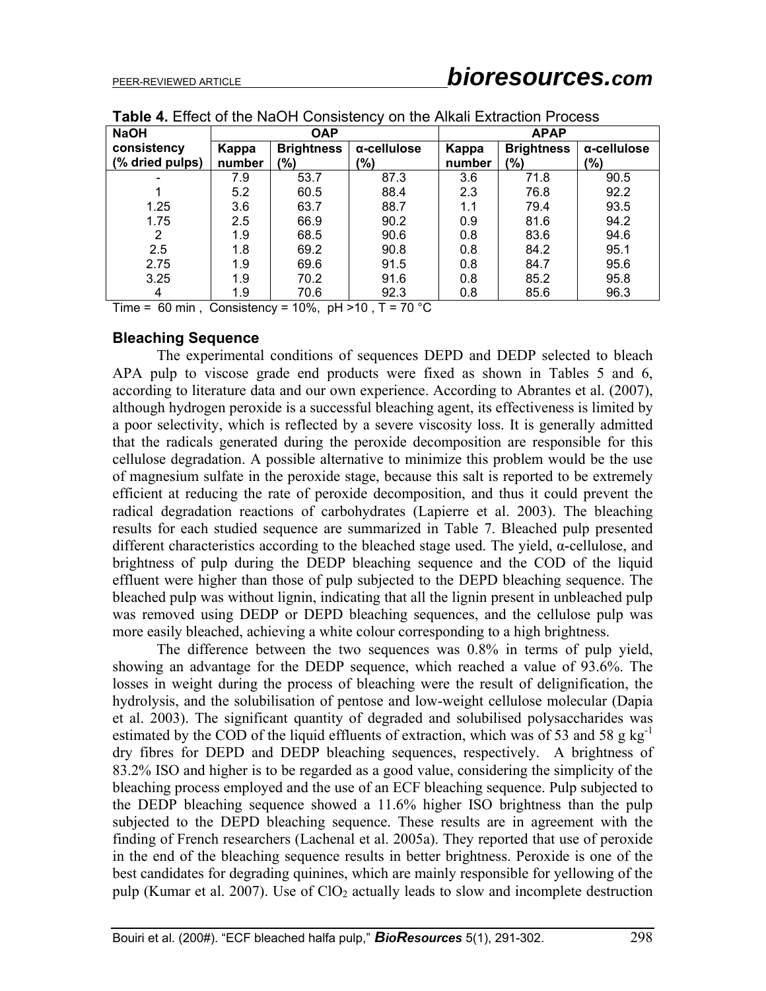| <b>NaOH</b>     | <b>OAP</b> |                   |                | <b>APAP</b> |                   |             |  |
|-----------------|------------|-------------------|----------------|-------------|-------------------|-------------|--|
| consistency     | Kappa      | <b>Brightness</b> | α-cellulose    | Kappa       | <b>Brightness</b> | α-cellulose |  |
| (% dried pulps) | number     | (9/0)             | $\frac{10}{6}$ | number      | (9/0)             | $(\% )$     |  |
|                 | 7.9        | 53.7              | 87.3           | 3.6         | 71.8              | 90.5        |  |
|                 | 5.2        | 60.5              | 88.4           | 2.3         | 76.8              | 92.2        |  |
| 1.25            | 3.6        | 63.7              | 88.7           | 1.1         | 79.4              | 93.5        |  |
| 1.75            | 2.5        | 66.9              | 90.2           | 0.9         | 81.6              | 94.2        |  |
| 2               | 1.9        | 68.5              | 90.6           | 0.8         | 83.6              | 94.6        |  |
| 2.5             | 1.8        | 69.2              | 90.8           | 0.8         | 84.2              | 95.1        |  |
| 2.75            | 1.9        | 69.6              | 91.5           | 0.8         | 84.7              | 95.6        |  |
| 3.25            | 1.9        | 70.2              | 91.6           | 0.8         | 85.2              | 95.8        |  |
| 4               | 1.9        | 70.6              | 92.3           | 0.8         | 85.6              | 96.3        |  |

**Table 4.** Effect of the NaOH Consistency on the Alkali Extraction Process

Time = 60 min, Consistency =  $10\%$ , pH > 10, T =  $70\degree$ C

### **Bleaching Sequence**

The experimental conditions of sequences DEPD and DEDP selected to bleach APA pulp to viscose grade end products were fixed as shown in Tables 5 and 6, according to literature data and our own experience. According to Abrantes et al. (2007), although hydrogen peroxide is a successful bleaching agent, its effectiveness is limited by a poor selectivity, which is reflected by a severe viscosity loss. It is generally admitted that the radicals generated during the peroxide decomposition are responsible for this cellulose degradation. A possible alternative to minimize this problem would be the use of magnesium sulfate in the peroxide stage, because this salt is reported to be extremely efficient at reducing the rate of peroxide decomposition, and thus it could prevent the radical degradation reactions of carbohydrates (Lapierre et al. 2003). The bleaching results for each studied sequence are summarized in Table 7. Bleached pulp presented different characteristics according to the bleached stage used. The yield, α-cellulose, and brightness of pulp during the DEDP bleaching sequence and the COD of the liquid effluent were higher than those of pulp subjected to the DEPD bleaching sequence. The bleached pulp was without lignin, indicating that all the lignin present in unbleached pulp was removed using DEDP or DEPD bleaching sequences, and the cellulose pulp was more easily bleached, achieving a white colour corresponding to a high brightness.

The difference between the two sequences was 0.8% in terms of pulp yield, showing an advantage for the DEDP sequence, which reached a value of 93.6%. The losses in weight during the process of bleaching were the result of delignification, the hydrolysis, and the solubilisation of pentose and low-weight cellulose molecular (Dapia et al. 2003). The significant quantity of degraded and solubilised polysaccharides was estimated by the COD of the liquid effluents of extraction, which was of 53 and 58 g kg<sup>-1</sup> dry fibres for DEPD and DEDP bleaching sequences, respectively. A brightness of 83.2% ISO and higher is to be regarded as a good value, considering the simplicity of the bleaching process employed and the use of an ECF bleaching sequence. Pulp subjected to the DEDP bleaching sequence showed a 11.6% higher ISO brightness than the pulp subjected to the DEPD bleaching sequence. These results are in agreement with the finding of French researchers (Lachenal et al. 2005a). They reported that use of peroxide in the end of the bleaching sequence results in better brightness. Peroxide is one of the best candidates for degrading quinines, which are mainly responsible for yellowing of the pulp (Kumar et al. 2007). Use of  $ClO<sub>2</sub>$  actually leads to slow and incomplete destruction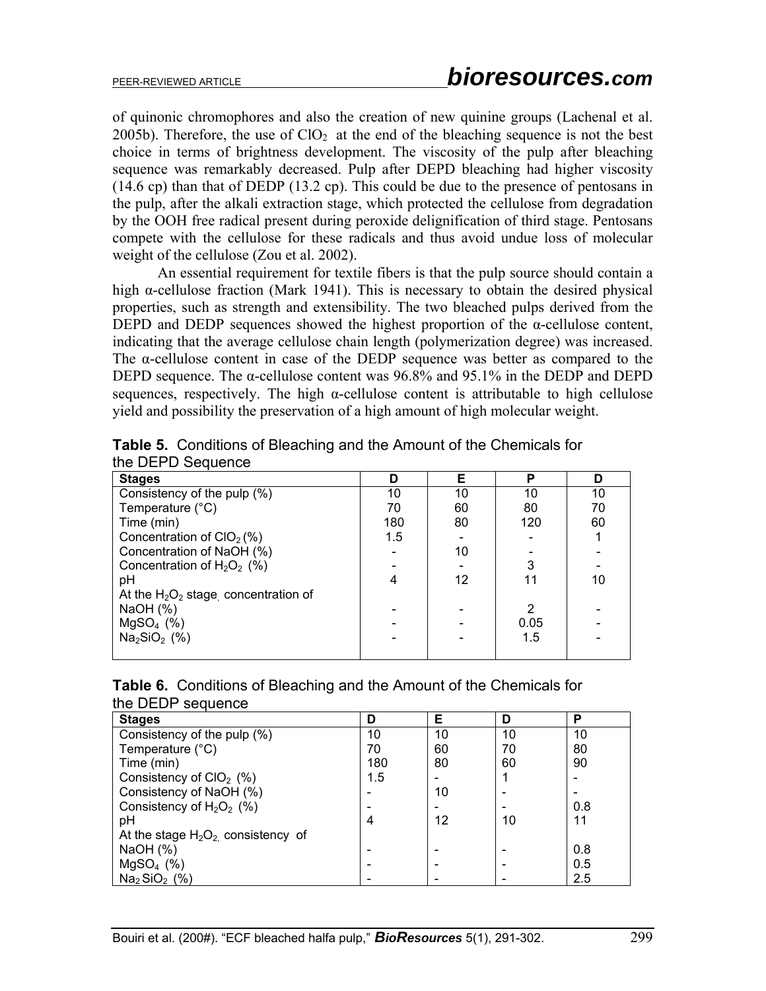of quinonic chromophores and also the creation of new quinine groups (Lachenal et al. 2005b). Therefore, the use of  $ClO<sub>2</sub>$  at the end of the bleaching sequence is not the best choice in terms of brightness development. The viscosity of the pulp after bleaching sequence was remarkably decreased. Pulp after DEPD bleaching had higher viscosity (14.6 cp) than that of DEDP (13.2 cp). This could be due to the presence of pentosans in the pulp, after the alkali extraction stage, which protected the cellulose from degradation by the OOH free radical present during peroxide delignification of third stage. Pentosans compete with the cellulose for these radicals and thus avoid undue loss of molecular weight of the cellulose (Zou et al. 2002).

 An essential requirement for textile fibers is that the pulp source should contain a high  $\alpha$ -cellulose fraction (Mark 1941). This is necessary to obtain the desired physical properties, such as strength and extensibility. The two bleached pulps derived from the DEPD and DEDP sequences showed the highest proportion of the  $\alpha$ -cellulose content, indicating that the average cellulose chain length (polymerization degree) was increased. The α-cellulose content in case of the DEDP sequence was better as compared to the DEPD sequence. The α-cellulose content was 96.8% and 95.1% in the DEDP and DEPD sequences, respectively. The high  $\alpha$ -cellulose content is attributable to high cellulose yield and possibility the preservation of a high amount of high molecular weight.

| <b>Stages</b>                          | D   | Е  | P    | D  |
|----------------------------------------|-----|----|------|----|
| Consistency of the pulp (%)            | 10  | 10 | 10   | 10 |
| Temperature (°C)                       | 70  | 60 | 80   | 70 |
| Time (min)                             | 180 | 80 | 120  | 60 |
| Concentration of $ClO2(%)$             | 1.5 |    |      |    |
| Concentration of NaOH (%)              |     | 10 |      |    |
| Concentration of $H_2O_2$ (%)          |     |    | 3    |    |
| рH                                     | 4   | 12 | 11   | 10 |
| At the $H_2O_2$ stage concentration of |     |    |      |    |
| NaOH $(%)$                             |     |    | 2    |    |
| $MgSO4$ (%)                            |     |    | 0.05 |    |
| $Na2SiO2$ (%)                          |     |    | 1.5  |    |
|                                        |     |    |      |    |

**Table 5.** Conditions of Bleaching and the Amount of the Chemicals for the DEPD Sequence

| <b>Table 6.</b> Conditions of Bleaching and the Amount of the Chemicals for |  |
|-----------------------------------------------------------------------------|--|
| the DEDP sequence                                                           |  |

| <b>Stages</b>                        | D   | Е  | D  | P   |
|--------------------------------------|-----|----|----|-----|
| Consistency of the pulp (%)          | 10  | 10 | 10 | 10  |
| Temperature (°C)                     | 70  | 60 | 70 | 80  |
| Time (min)                           | 180 | 80 | 60 | 90  |
| Consistency of $ClO2$ (%)            | 1.5 |    |    |     |
| Consistency of NaOH (%)              |     | 10 |    |     |
| Consistency of $H_2O_2$ (%)          |     |    |    | 0.8 |
| pH                                   |     | 12 | 10 | 11  |
| At the stage $H_2O_2$ consistency of |     |    |    |     |
| NaOH $(%)$                           |     |    |    | 0.8 |
| $MgSO4$ (%)                          |     |    |    | 0.5 |
| $Na2 SiO2$ (%)                       |     |    |    | 2.5 |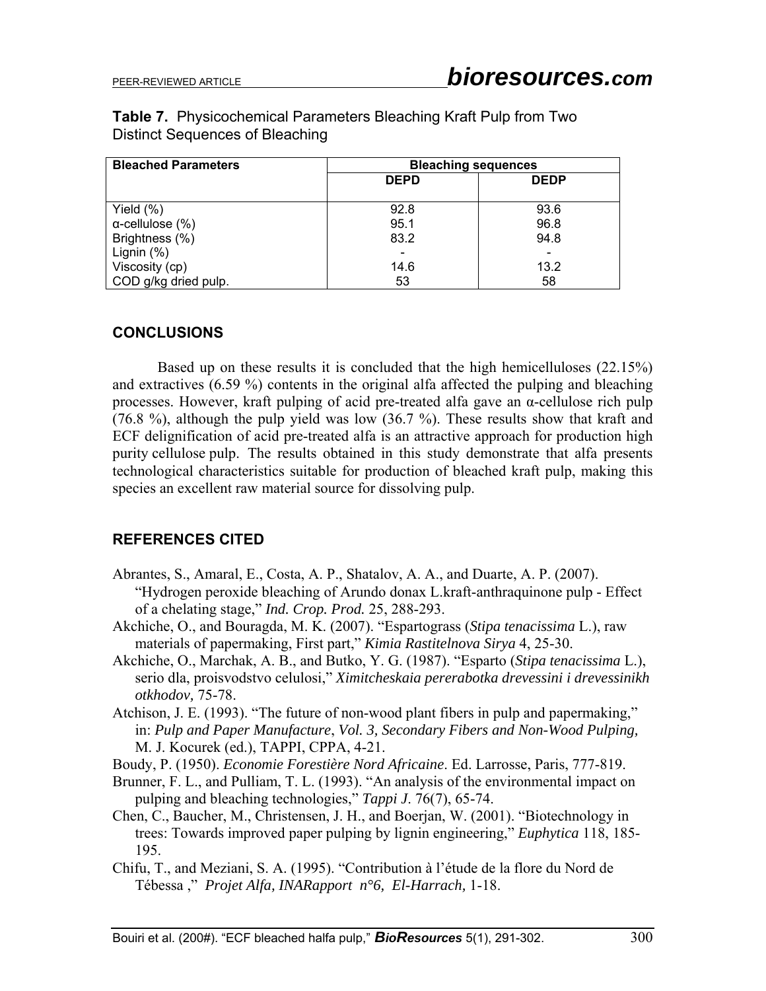| <b>Table 7.</b> Physicochemical Parameters Bleaching Kraft Pulp from Two |  |  |  |
|--------------------------------------------------------------------------|--|--|--|
| Distinct Sequences of Bleaching                                          |  |  |  |

| <b>Bleached Parameters</b> | <b>Bleaching sequences</b> |             |  |  |
|----------------------------|----------------------------|-------------|--|--|
|                            | <b>DEPD</b>                | <b>DEDP</b> |  |  |
|                            |                            |             |  |  |
| Yield $(\%)$               | 92.8                       | 93.6        |  |  |
| $\alpha$ -cellulose (%)    | 95.1                       | 96.8        |  |  |
| Brightness (%)             | 83.2                       | 94.8        |  |  |
| Lignin $(%)$               |                            |             |  |  |
| Viscosity (cp)             | 14.6                       | 13.2        |  |  |
| COD g/kg dried pulp.       | 53                         | 58          |  |  |

# **CONCLUSIONS**

 Based up on these results it is concluded that the high hemicelluloses (22.15%) and extractives (6.59 %) contents in the original alfa affected the pulping and bleaching processes. However, kraft pulping of acid pre-treated alfa gave an α-cellulose rich pulp (76.8 %), although the pulp yield was low (36.7 %). These results show that kraft and ECF delignification of acid pre-treated alfa is an attractive approach for production high purity cellulose pulp. The results obtained in this study demonstrate that alfa presents technological characteristics suitable for production of bleached kraft pulp, making this species an excellent raw material source for dissolving pulp.

### **REFERENCES CITED**

- Abrantes, S., Amaral, E., Costa, A. P., Shatalov, A. A., and Duarte, A. P. (2007). "Hydrogen peroxide bleaching of Arundo donax L.kraft-anthraquinone pulp - Effect of a chelating stage," *Ind. Crop. Prod.* 25, 288-293.
- Akchiche, O., and Bouragda, M. K. (2007). "Espartograss (*Stipa tenacissima* L.), raw materials of papermaking, First part," *Kimia Rastitelnova Sirya* 4, 25-30.
- Akchiche, O., Marchak, A. B., and Butko, Y. G. (1987). "Esparto (*Stipa tenacissima* L.), serio dla, proisvodstvo celulosi," *Ximitcheskaia pererabotka drevessini i drevessinikh otkhodov,* 75-78.
- Atchison, J. E. (1993). "The future of non-wood plant fibers in pulp and papermaking," in: *Pulp and Paper Manufacture*, *Vol. 3, Secondary Fibers and Non-Wood Pulping,*  M. J. Kocurek (ed.), TAPPI, CPPA, 4-21.
- Boudy, P. (1950). *Economie Forestière Nord Africaine*. Ed. Larrosse, Paris, 777-819.
- Brunner, F. L., and Pulliam, T. L. (1993). "An analysis of the environmental impact on pulping and bleaching technologies," *Tappi J*. 76(7), 65-74.
- Chen, C., Baucher, M., Christensen, J. H., and Boerjan, W. (2001). "Biotechnology in trees: Towards improved paper pulping by lignin engineering," *Euphytica* 118, 185- 195.
- Chifu, T., and Meziani, S. A. (1995). "Contribution à l'étude de la flore du Nord de Tébessa ," *Projet Alfa, INARapport n°6, El-Harrach,* 1-18.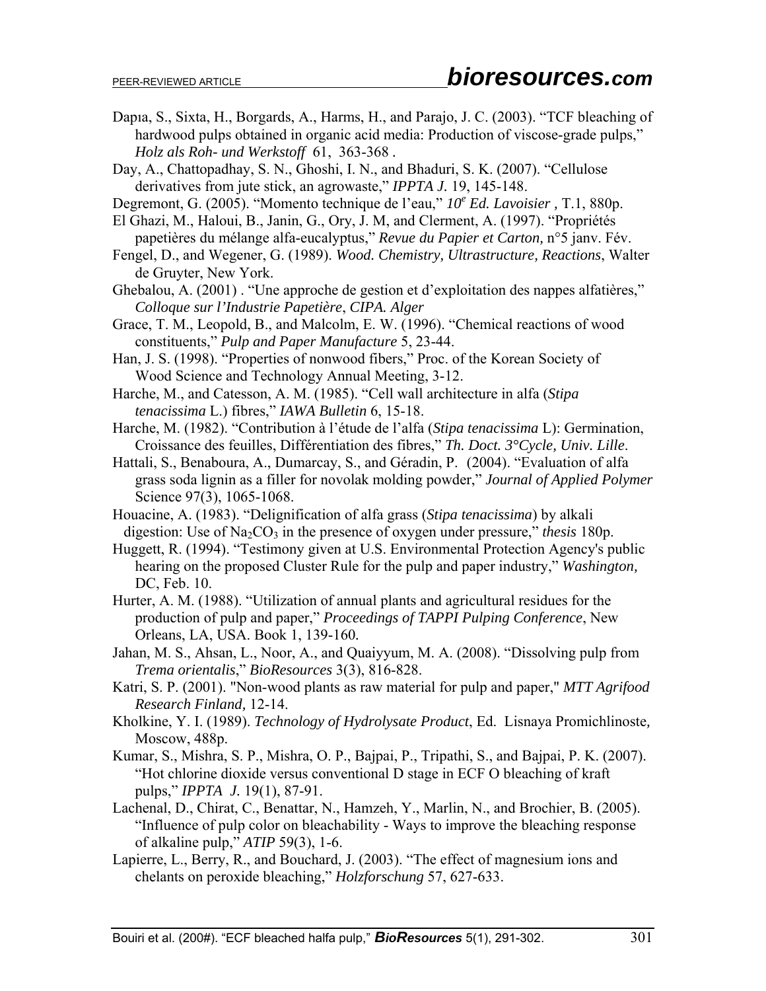- Dapıa, S., Sixta, H., Borgards, A., Harms, H., and Parajo, J. C. (2003). "TCF bleaching of hardwood pulps obtained in organic acid media: Production of viscose-grade pulps," *Holz als Roh- und Werkstoff* 61, 363-368 *.*
- Day, A., Chattopadhay, S. N., Ghoshi, I. N., and Bhaduri, S. K. (2007). "Cellulose derivatives from jute stick, an agrowaste," *IPPTA J.* 19, 145-148.
- Degremont, G. (2005). "Momento technique de l'eau,"  $10^e$  Ed. Lavoisier, T.1, 880p.
- El Ghazi, M., Haloui, B., Janin, G., Ory, J. M, and Clerment, A. (1997). "Propriétés papetières du mélange alfa-eucalyptus," *Revue du Papier et Carton,* n°5 janv. Fév.
- Fengel, D., and Wegener, G. (1989). *Wood. Chemistry, Ultrastructure, Reactions*, Walter de Gruyter, New York.
- Ghebalou, A. (2001) . "Une approche de gestion et d'exploitation des nappes alfatières," *Colloque sur l'Industrie Papetière*, *CIPA. Alger*
- Grace, T. M., Leopold, B., and Malcolm, E. W. (1996). "Chemical reactions of wood constituents," *Pulp and Paper Manufacture* 5, 23-44.
- Han, J. S. (1998). "Properties of nonwood fibers," Proc. of the Korean Society of Wood Science and Technology Annual Meeting, 3-12.
- Harche, M., and Catesson, A. M. (1985). "Cell wall architecture in alfa (*Stipa tenacissima* L.) fibres," *IAWA Bulletin* 6, 15-18.
- Harche, M. (1982). "Contribution à l'étude de l'alfa (*Stipa tenacissima* L): Germination, Croissance des feuilles, Différentiation des fibres," *Th. Doct. 3°Cycle, Univ. Lille*.
- Hattali, S., Benaboura, A., Dumarcay, S., and Géradin, P. (2004). "Evaluation of alfa grass soda lignin as a filler for novolak molding powder," *Journal of Applied Polymer*  Science 97(3), 1065-1068.
- Houacine, A. (1983). "Delignification of alfa grass (*Stipa tenacissima*) by alkali digestion: Use of  $Na<sub>2</sub>CO<sub>3</sub>$  in the presence of oxygen under pressure," *thesis* 180p.
- Huggett, R. (1994). "Testimony given at U.S. Environmental Protection Agency's public hearing on the proposed Cluster Rule for the pulp and paper industry," *Washington,*  DC, Feb. 10.
- Hurter, A. M. (1988). "Utilization of annual plants and agricultural residues for the production of pulp and paper," *Proceedings of TAPPI Pulping Conference*, New Orleans, LA, USA. Book 1, 139-160*.*
- Jahan, M. S., Ahsan, L., Noor, A., and Quaiyyum, M. A. (2008). "Dissolving pulp from *Trema orientalis*," *BioResources* 3(3), 816-828.
- Katri, S. P. (2001). "Non-wood plants as raw material for pulp and paper," *MTT Agrifood Research Finland,* 12-14.
- Kholkine, Y. I. (1989). *Technology of Hydrolysate Product*, Ed. Lisnaya Promichlinoste*,*  Moscow, 488p.
- Kumar, S., Mishra, S. P., Mishra, O. P., Bajpai, P., Tripathi, S., and Bajpai, P. K. (2007). "Hot chlorine dioxide versus conventional D stage in ECF O bleaching of kraft pulps," *IPPTA J.* 19(1), 87-91.
- Lachenal, D., Chirat, C., Benattar, N., Hamzeh, Y., Marlin, N., and Brochier, B. (2005). "Influence of pulp color on bleachability - Ways to improve the bleaching response of alkaline pulp," *ATIP* 59(3), 1-6.
- Lapierre, L., Berry, R., and Bouchard, J. (2003). "The effect of magnesium ions and chelants on peroxide bleaching," *Holzforschung* 57, 627-633.